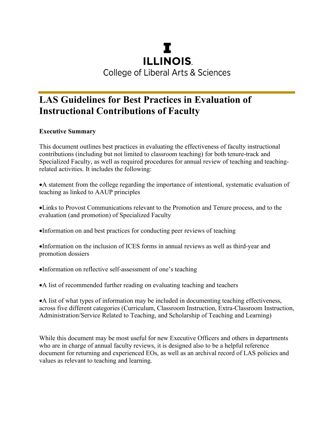# T. **ILLINOIS College of Liberal Arts & Sciences**

# **LAS Guidelines for Best Practices in Evaluation of Instructional Contributions of Faculty**

## **Executive Summary**

This document outlines best practices in evaluating the effectiveness of faculty instructional contributions (including but not limited to classroom teaching) for both tenure-track and Specialized Faculty, as well as required procedures for annual review of teaching and teachingrelated activities. It includes the following:

•A statement from the college regarding the importance of intentional, systematic evaluation of teaching as linked to AAUP principles

•Links to Provost Communications relevant to the Promotion and Tenure process, and to the evaluation (and promotion) of Specialized Faculty

•Information on and best practices for conducting peer reviews of teaching

•Information on the inclusion of ICES forms in annual reviews as well as third-year and promotion dossiers

•Information on reflective self-assessment of one's teaching

•A list of recommended further reading on evaluating teaching and teachers

•A list of what types of information may be included in documenting teaching effectiveness, across five different categories (Curriculum, Classroom Instruction, Extra-Classroom Instruction, Administration/Service Related to Teaching, and Scholarship of Teaching and Learning)

While this document may be most useful for new Executive Officers and others in departments who are in charge of annual faculty reviews, it is designed also to be a helpful reference document for returning and experienced EOs, as well as an archival record of LAS policies and values as relevant to teaching and learning.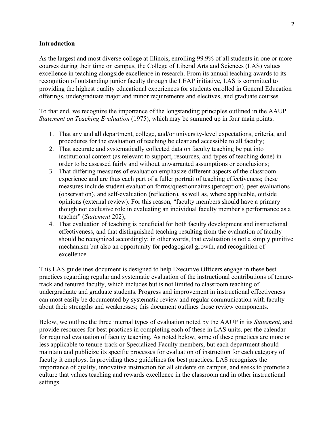#### **Introduction**

As the largest and most diverse college at Illinois, enrolling 99.9% of all students in one or more courses during their time on campus, the College of Liberal Arts and Sciences (LAS) values excellence in teaching alongside excellence in research. From its annual teaching awards to its recognition of outstanding junior faculty through the LEAP initiative, LAS is committed to providing the highest quality educational experiences for students enrolled in General Education offerings, undergraduate major and minor requirements and electives, and graduate courses.

To that end, we recognize the importance of the longstanding principles outlined in the AAUP *Statement on Teaching Evaluation* (1975), which may be summed up in four main points:

- 1. That any and all department, college, and/or university-level expectations, criteria, and procedures for the evaluation of teaching be clear and accessible to all faculty;
- 2. That accurate and systematically collected data on faculty teaching be put into institutional context (as relevant to support, resources, and types of teaching done) in order to be assessed fairly and without unwarranted assumptions or conclusions;
- 3. That differing measures of evaluation emphasize different aspects of the classroom experience and are thus each part of a fuller portrait of teaching effectiveness; these measures include student evaluation forms/questionnaires (perception), peer evaluations (observation), and self-evaluation (reflection), as well as, where applicable, outside opinions (external review). For this reason, "faculty members should have a primary though not exclusive role in evaluating an individual faculty member's performance as a teacher" (*Statement* 202);
- 4. That evaluation of teaching is beneficial for both faculty development and instructional effectiveness, and that distinguished teaching resulting from the evaluation of faculty should be recognized accordingly; in other words, that evaluation is not a simply punitive mechanism but also an opportunity for pedagogical growth, and recognition of excellence.

This LAS guidelines document is designed to help Executive Officers engage in these best practices regarding regular and systematic evaluation of the instructional contributions of tenuretrack and tenured faculty, which includes but is not limited to classroom teaching of undergraduate and graduate students. Progress and improvement in instructional effectiveness can most easily be documented by systematic review and regular communication with faculty about their strengths and weaknesses; this document outlines those review components.

Below, we outline the three internal types of evaluation noted by the AAUP in its *Statement*, and provide resources for best practices in completing each of these in LAS units, per the calendar for required evaluation of faculty teaching. As noted below, some of these practices are more or less applicable to tenure-track or Specialized Faculty members, but each department should maintain and publicize its specific processes for evaluation of instruction for each category of faculty it employs. In providing these guidelines for best practices, LAS recognizes the importance of quality, innovative instruction for all students on campus, and seeks to promote a culture that values teaching and rewards excellence in the classroom and in other instructional settings.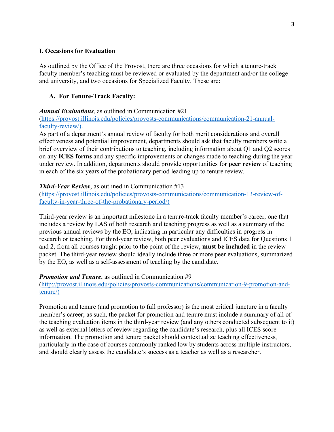#### **I. Occasions for Evaluation**

As outlined by the Office of the Provost, there are three occasions for which a tenure-track faculty member's teaching must be reviewed or evaluated by the department and/or the college and university, and two occasions for Specialized Faculty. These are:

#### **A. For Tenure-Track Faculty:**

#### *Annual Evaluations*, as outlined in Communication #21

(https://provost.illinois.edu/policies/provosts-communications/communication-21-annualfaculty-review/).

As part of a department's annual review of faculty for both merit considerations and overall effectiveness and potential improvement, departments should ask that faculty members write a brief overview of their contributions to teaching, including information about Q1 and Q2 scores on any **ICES forms** and any specific improvements or changes made to teaching during the year under review. In addition, departments should provide opportunities for **peer review** of teaching in each of the six years of the probationary period leading up to tenure review.

#### *Third-Year Review*, as outlined in Communication #13

(https://provost.illinois.edu/policies/provosts-communications/communication-13-review-offaculty-in-year-three-of-the-probationary-period/)

Third-year review is an important milestone in a tenure-track faculty member's career, one that includes a review by LAS of both research and teaching progress as well as a summary of the previous annual reviews by the EO, indicating in particular any difficulties in progress in research or teaching. For third-year review, both peer evaluations and ICES data for Questions 1 and 2, from all courses taught prior to the point of the review, **must be included** in the review packet. The third-year review should ideally include three or more peer evaluations, summarized by the EO, as well as a self-assessment of teaching by the candidate.

#### *Promotion and Tenure*, as outlined in Communication #9

(http://provost.illinois.edu/policies/provosts-communications/communication-9-promotion-andtenure/)

Promotion and tenure (and promotion to full professor) is the most critical juncture in a faculty member's career; as such, the packet for promotion and tenure must include a summary of all of the teaching evaluation items in the third-year review (and any others conducted subsequent to it) as well as external letters of review regarding the candidate's research, plus all ICES score information. The promotion and tenure packet should contextualize teaching effectiveness, particularly in the case of courses commonly ranked low by students across multiple instructors, and should clearly assess the candidate's success as a teacher as well as a researcher.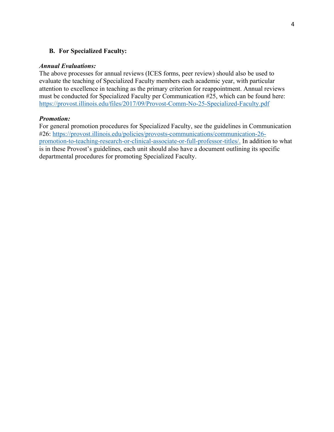### **B. For Specialized Faculty:**

#### *Annual Evaluations:*

The above processes for annual reviews (ICES forms, peer review) should also be used to evaluate the teaching of Specialized Faculty members each academic year, with particular attention to excellence in teaching as the primary criterion for reappointment. Annual reviews must be conducted for Specialized Faculty per Communication #25, which can be found here: https://provost.illinois.edu/files/2017/09/Provost-Comm-No-25-Specialized-Faculty.pdf

#### *Promotion:*

For general promotion procedures for Specialized Faculty, see the guidelines in Communication #26: https://provost.illinois.edu/policies/provosts-communications/communication-26 promotion-to-teaching-research-or-clinical-associate-or-full-professor-titles/. In addition to what is in these Provost's guidelines, each unit should also have a document outlining its specific departmental procedures for promoting Specialized Faculty.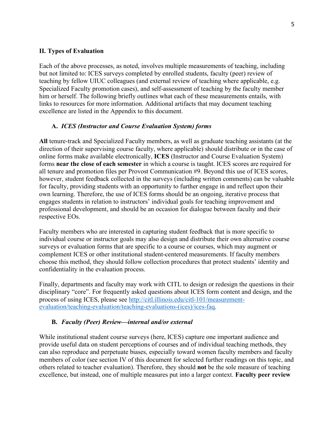#### **II. Types of Evaluation**

Each of the above processes, as noted, involves multiple measurements of teaching, including but not limited to: ICES surveys completed by enrolled students, faculty (peer) review of teaching by fellow UIUC colleagues (and external review of teaching where applicable, e.g. Specialized Faculty promotion cases), and self-assessment of teaching by the faculty member him or herself. The following briefly outlines what each of these measurements entails, with links to resources for more information. Additional artifacts that may document teaching excellence are listed in the Appendix to this document.

### **A.** *ICES (Instructor and Course Evaluation System) forms*

**All** tenure-track and Specialized Faculty members, as well as graduate teaching assistants (at the direction of their supervising course faculty, where applicable) should distribute or in the case of online forms make available electronically, **ICES** (Instructor and Course Evaluation System) forms **near the close of each semester** in which a course is taught. ICES scores are required for all tenure and promotion files per Provost Communication #9. Beyond this use of ICES scores, however, student feedback collected in the surveys (including written comments) can be valuable for faculty, providing students with an opportunity to further engage in and reflect upon their own learning. Therefore, the use of ICES forms should be an ongoing, iterative process that engages students in relation to instructors' individual goals for teaching improvement and professional development, and should be an occasion for dialogue between faculty and their respective EOs.

Faculty members who are interested in capturing student feedback that is more specific to individual course or instructor goals may also design and distribute their own alternative course surveys or evaluation forms that are specific to a course or courses, which may augment or complement ICES or other institutional student-centered measurements. If faculty members choose this method, they should follow collection procedures that protect students' identity and confidentiality in the evaluation process.

Finally, departments and faculty may work with CITL to design or redesign the questions in their disciplinary "core". For frequently asked questions about ICES form content and design, and the process of using ICES, please see http://citl.illinois.edu/citl-101/measurementevaluation/teaching-evaluation/teaching-evaluations-(ices)/ices-faq.

## **B.** *Faculty (Peer) Review—internal and/or external*

While institutional student course surveys (here, ICES) capture one important audience and provide useful data on student perceptions of courses and of individual teaching methods, they can also reproduce and perpetuate biases, especially toward women faculty members and faculty members of color (see section IV of this document for selected further readings on this topic, and others related to teacher evaluation). Therefore, they should **not** be the sole measure of teaching excellence, but instead, one of multiple measures put into a larger context. **Faculty peer review**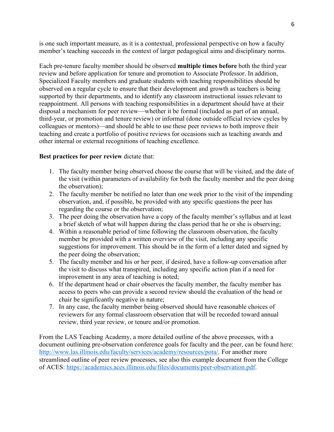is one such important measure, as it is a contextual, professional perspective on how a faculty member's teaching succeeds in the context of larger pedagogical aims and disciplinary norms.

Each pre-tenure faculty member should be observed **multiple times before** both the third year review and before application for tenure and promotion to Associate Professor. In addition, Specialized Faculty members and graduate students with teaching responsibilities should be observed on a regular cycle to ensure that their development and growth as teachers is being supported by their departments, and to identify any classroom instructional issues relevant to reappointment. All persons with teaching responsibilities in a department should have at their disposal a mechanism for peer review—whether it be formal (included as part of an annual, third-year, or promotion and tenure review) or informal (done outside official review cycles by colleagues or mentors)—and should be able to use these peer reviews to both improve their teaching and create a portfolio of positive reviews for occasions such as teaching awards and other internal or external recognitions of teaching excellence.

#### **Best practices for peer review** dictate that:

- 1. The faculty member being observed choose the course that will be visited, and the date of the visit (within parameters of availability for both the faculty member and the peer doing the observation);
- 2. The faculty member be notified no later than one week prior to the visit of the impending observation, and, if possible, be provided with any specific questions the peer has regarding the course or the observation;
- 3. The peer doing the observation have a copy of the faculty member's syllabus and at least a brief sketch of what will happen during the class period that he or she is observing;
- 4. Within a reasonable period of time following the classroom observation, the faculty member be provided with a written overview of the visit, including any specific suggestions for improvement. This should be in the form of a letter dated and signed by the peer doing the observation;
- 5. The faculty member and his or her peer, if desired, have a follow-up conversation after the visit to discuss what transpired, including any specific action plan if a need for improvement in any area of teaching is noted;
- 6. If the department head or chair observes the faculty member, the faculty member has access to peers who can provide a second review should the evaluation of the head or chair be significantly negative in nature;
- 7. In any case, the faculty member being observed should have reasonable choices of reviewers for any formal classroom observation that will be recorded toward annual review, third year review, or tenure and/or promotion.

From the LAS Teaching Academy, a more detailed outline of the above processes, with a document outlining pre-observation conference goals for faculty and the peer, can be found here: http://www.las.illinois.edu/faculty/services/academy/resources/pota/. For another more streamlined outline of peer review processes, see also this example document from the College of ACES: https://academics.aces.illinois.edu/files/documents/peer-observation.pdf.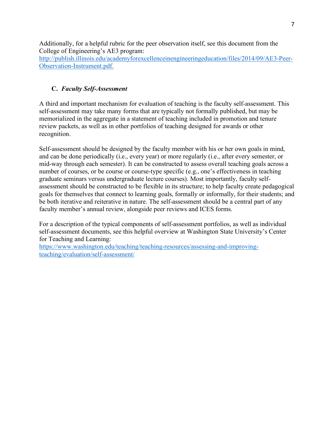Additionally, for a helpful rubric for the peer observation itself, see this document from the College of Engineering's AE3 program:

http://publish.illinois.edu/academyforexcellenceinengineeringeducation/files/2014/09/AE3-Peer-Observation-Instrument.pdf.

# **C.** *Faculty Self-Assessment*

A third and important mechanism for evaluation of teaching is the faculty self-assessment. This self-assessment may take many forms that are typically not formally published, but may be memorialized in the aggregate in a statement of teaching included in promotion and tenure review packets, as well as in other portfolios of teaching designed for awards or other recognition.

Self-assessment should be designed by the faculty member with his or her own goals in mind, and can be done periodically (i.e., every year) or more regularly (i.e., after every semester, or mid-way through each semester). It can be constructed to assess overall teaching goals across a number of courses, or be course or course-type specific (e.g., one's effectiveness in teaching graduate seminars versus undergraduate lecture courses). Most importantly, faculty selfassessment should be constructed to be flexible in its structure; to help faculty create pedagogical goals for themselves that connect to learning goals, formally or informally, for their students; and be both iterative and reiterative in nature. The self-assessment should be a central part of any faculty member's annual review, alongside peer reviews and ICES forms.

For a description of the typical components of self-assessment portfolios, as well as individual self-assessment documents, see this helpful overview at Washington State University's Center for Teaching and Learning:

https://www.washington.edu/teaching/teaching-resources/assessing-and-improvingteaching/evaluation/self-assessment/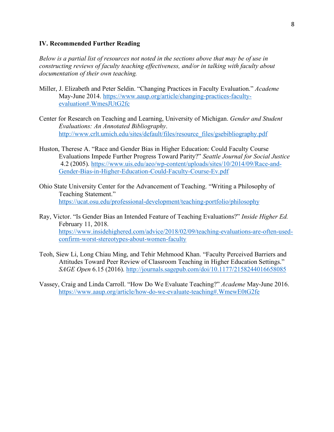#### **IV. Recommended Further Reading**

*Below is a partial list of resources not noted in the sections above that may be of use in constructing reviews of faculty teaching effectiveness, and/or in talking with faculty about documentation of their own teaching.*

- Miller, J. Elizabeth and Peter Seldin. "Changing Practices in Faculty Evaluation." *Academe*  May-June 2014. https://www.aaup.org/article/changing-practices-facultyevaluation#.WmesJUtG2fc
- Center for Research on Teaching and Learning, University of Michigan. *Gender and Student Evaluations: An Annotated Bibliography*. http://www.crlt.umich.edu/sites/default/files/resource\_files/gsebibliography.pdf
- Huston, Therese A. "Race and Gender Bias in Higher Education: Could Faculty Course Evaluations Impede Further Progress Toward Parity?" *Seattle Journal for Social Justice* 4.2 (2005). https://www.uis.edu/aeo/wp-content/uploads/sites/10/2014/09/Race-and-Gender-Bias-in-Higher-Education-Could-Faculty-Course-Ev.pdf
- Ohio State University Center for the Advancement of Teaching. "Writing a Philosophy of Teaching Statement." https://ucat.osu.edu/professional-development/teaching-portfolio/philosophy
- Ray, Victor. "Is Gender Bias an Intended Feature of Teaching Evaluations?" *Inside Higher Ed.*  February 11, 2018. https://www.insidehighered.com/advice/2018/02/09/teaching-evaluations-are-often-usedconfirm-worst-stereotypes-about-women-faculty
- Teoh, Siew Li, Long Chiau Ming, and Tehir Mehmood Khan. "Faculty Perceived Barriers and Attitudes Toward Peer Review of Classroom Teaching in Higher Education Settings." *SAGE Open* 6.15 (2016). http://journals.sagepub.com/doi/10.1177/2158244016658085
- Vassey, Craig and Linda Carroll. "How Do We Evaluate Teaching?" *Academe* May-June 2016. https://www.aaup.org/article/how-do-we-evaluate-teaching#.WmewE0tG2fe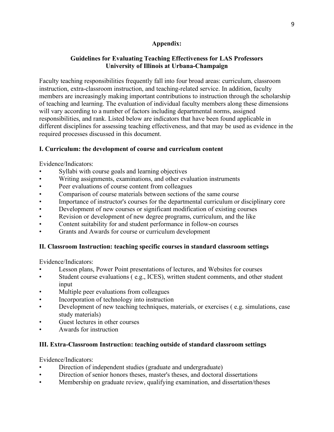# **Appendix:**

## **Guidelines for Evaluating Teaching Effectiveness for LAS Professors University of Illinois at Urbana-Champaign**

Faculty teaching responsibilities frequently fall into four broad areas: curriculum, classroom instruction, extra-classroom instruction, and teaching-related service. In addition, faculty members are increasingly making important contributions to instruction through the scholarship of teaching and learning. The evaluation of individual faculty members along these dimensions will vary according to a number of factors including departmental norms, assigned responsibilities, and rank. Listed below are indicators that have been found applicable in different disciplines for assessing teaching effectiveness, and that may be used as evidence in the required processes discussed in this document.

## **I. Curriculum: the development of course and curriculum content**

Evidence/Indicators:

- Syllabi with course goals and learning objectives
- Writing assignments, examinations, and other evaluation instruments
- Peer evaluations of course content from colleagues
- Comparison of course materials between sections of the same course
- Importance of instructor's courses for the departmental curriculum or disciplinary core
- Development of new courses or significant modification of existing courses
- Revision or development of new degree programs, curriculum, and the like
- Content suitability for and student performance in follow-on courses
- Grants and Awards for course or curriculum development

# **II. Classroom Instruction: teaching specific courses in standard classroom settings**

Evidence/Indicators:

- Lesson plans, Power Point presentations of lectures, and Websites for courses
- Student course evaluations ( e.g., ICES), written student comments, and other student input
- Multiple peer evaluations from colleagues
- Incorporation of technology into instruction
- Development of new teaching techniques, materials, or exercises ( e.g. simulations, case study materials)
- Guest lectures in other courses
- Awards for instruction

## **III. Extra-Classroom Instruction: teaching outside of standard classroom settings**

Evidence/Indicators:

- Direction of independent studies (graduate and undergraduate)
- Direction of senior honors theses, master's theses, and doctoral dissertations
- Membership on graduate review, qualifying examination, and dissertation/theses